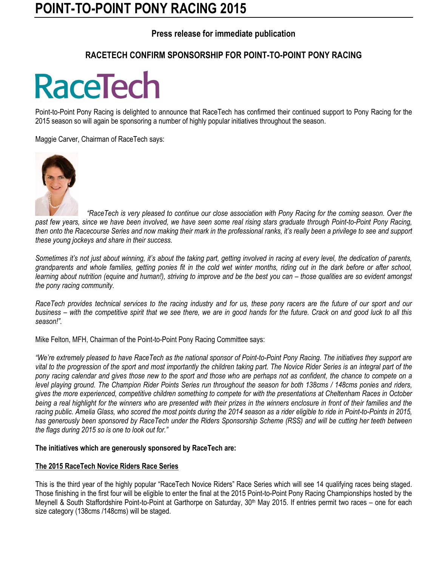# **POINT-TO-POINT PONY RACING 2015**

### **Press release for immediate publication**

## **RACETECH CONFIRM SPONSORSHIP FOR POINT-TO-POINT PONY RACING**

# **RaceTech**

Point-to-Point Pony Racing is delighted to announce that RaceTech has confirmed their continued support to Pony Racing for the 2015 season so will again be sponsoring a number of highly popular initiatives throughout the season.

Maggie Carver, Chairman of RaceTech says:



 *"RaceTech is very pleased to continue our close association with Pony Racing for the coming season. Over the past few years, since we have been involved, we have seen some real rising stars graduate through Point-to-Point Pony Racing, then onto the Racecourse Series and now making their mark in the professional ranks, it's really been a privilege to see and support these young jockeys and share in their success.*

*Sometimes it's not just about winning, it's about the taking part, getting involved in racing at every level, the dedication of parents, grandparents and whole families, getting ponies fit in the cold wet winter months, riding out in the dark before or after school, learning about nutrition (equine and human!), striving to improve and be the best you can – those qualities are so evident amongst the pony racing community.* 

*RaceTech provides technical services to the racing industry and for us, these pony racers are the future of our sport and our business – with the competitive spirit that we see there, we are in good hands for the future. Crack on and good luck to all this season!".*

Mike Felton, MFH, Chairman of the Point-to-Point Pony Racing Committee says:

*"We're extremely pleased to have RaceTech as the national sponsor of Point-to-Point Pony Racing. The initiatives they support are vital to the progression of the sport and most importantly the children taking part. The Novice Rider Series is an integral part of the pony racing calendar and gives those new to the sport and those who are perhaps not as confident, the chance to compete on a level playing ground. The Champion Rider Points Series run throughout the season for both 138cms / 148cms ponies and riders, gives the more experienced, competitive children something to compete for with the presentations at Cheltenham Races in October being a real highlight for the winners who are presented with their prizes in the winners enclosure in front of their families and the racing public. Amelia Glass, who scored the most points during the 2014 season as a rider eligible to ride in Point-to-Points in 2015, has generously been sponsored by RaceTech under the Riders Sponsorship Scheme (RSS) and will be cutting her teeth between the flags during 2015 so is one to look out for."*

#### **The initiatives which are generously sponsored by RaceTech are:**

#### **The 2015 RaceTech Novice Riders Race Series**

This is the third year of the highly popular "RaceTech Novice Riders" Race Series which will see 14 qualifying races being staged. Those finishing in the first four will be eligible to enter the final at the 2015 Point-to-Point Pony Racing Championships hosted by the Meynell & South Staffordshire Point-to-Point at Garthorpe on Saturday, 30<sup>th</sup> May 2015. If entries permit two races – one for each size category (138cms /148cms) will be staged.